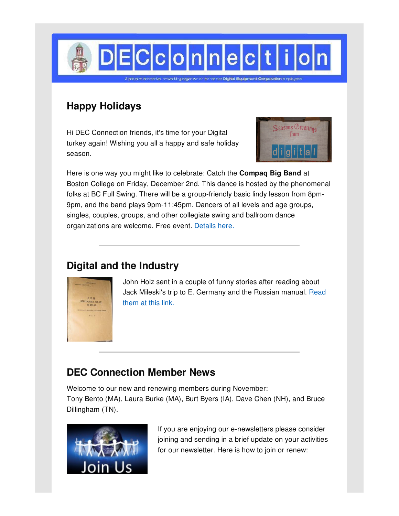

# **Happy Holidays**

Hi DEC Connection friends, it's time for your Digital turkey again! Wishing you all a happy and safe holiday season.



Here is one way you might like to celebrate: Catch the **Compaq Big Band** at Boston College on Friday, December 2nd. This dance is hosted by the phenomenal folks at BC Full Swing. There will be a group-friendly basic lindy lesson from 8pm-9pm, and the band plays 9pm-11:45pm. Dancers of all levels and age groups, singles, couples, groups, and other collegiate swing and ballroom dance organizations are welcome. Free event. [Details](http://www.compaqbigband.com/161202.php) here.

## **Digital and the Industry**



John Holz sent in a couple of funny stories after reading about Jack Mileski's trip to E. [Germany](http://www.decconnection.org/stories.htm) and the Russian manual. Read them at this link.

### **DEC Connection Member News**

Welcome to our new and renewing members during November: Tony Bento (MA), Laura Burke (MA), Burt Byers (IA), Dave Chen (NH), and Bruce Dillingham (TN).



If you are enjoying our e-newsletters please consider joining and sending in a brief update on your activities for our newsletter. Here is how to join or renew: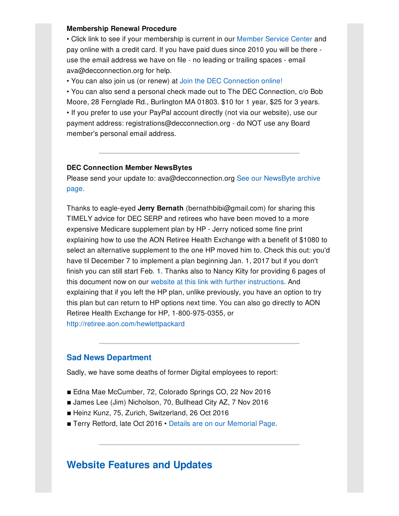#### **Membership Renewal Procedure**

• Click link to see if your membership is current in our [Member](http://www.decconnection.org/msclogin.php) Service Center and pay online with a credit card. If you have paid dues since 2010 you will be there use the email address we have on file - no leading or trailing spaces - email ava@decconnection.org for help.

• You can also join us (or renew) at Join the DEC [Connection](http://www.decconnection.org/join-online.htm) online!

• You can also send a personal check made out to The DEC Connection, c/o Bob Moore, 28 Fernglade Rd., Burlington MA 01803. \$10 for 1 year, \$25 for 3 years. • If you prefer to use your PayPal account directly (not via our website), use our payment address: registrations@decconnection.org - do NOT use any Board member's personal email address.

#### **DEC Connection Member NewsBytes**

Please send your update to: [ava@decconnection.org](http://www.decconnection.org/newsbytes.htm) See our NewsByte archive page.

Thanks to eagle-eyed **Jerry Bernath** (bernathbibi@gmail.com) for sharing this TIMELY advice for DEC SERP and retirees who have been moved to a more expensive Medicare supplement plan by HP - Jerry noticed some fine print explaining how to use the AON Retiree Health Exchange with a benefit of \$1080 to select an alternative supplement to the one HP moved him to. Check this out: you'd have til December 7 to implement a plan beginning Jan. 1, 2017 but if you don't finish you can still start Feb. 1. Thanks also to Nancy Kilty for providing 6 pages of this document now on our website at this link with further [instructions](http://www.decconnection.org/HP_2017_Retiree_Medical_Enrollment.pdf). And explaining that if you left the HP plan, unlike previously, you have an option to try this plan but can return to HP options next time. You can also go directly to AON Retiree Health Exchange for HP, 1-800-975-0355, or <http://retiree.aon.com/hewlettpackard>

#### **Sad News Department**

Sadly, we have some deaths of former Digital employees to report:

- Edna Mae McCumber, 72, Colorado Springs CO, 22 Nov 2016
- James Lee (Jim) Nicholson, 70, Bullhead City AZ, 7 Nov 2016
- Heinz Kunz, 75, Zurich, Switzerland, 26 Oct 2016
- Terry Retford, late Oct 2016 Details are on our [Memorial](http://www.decconnection.org/memorials.htm) Page.

### **Website [Features](http://www.decconnection.org) and Updates**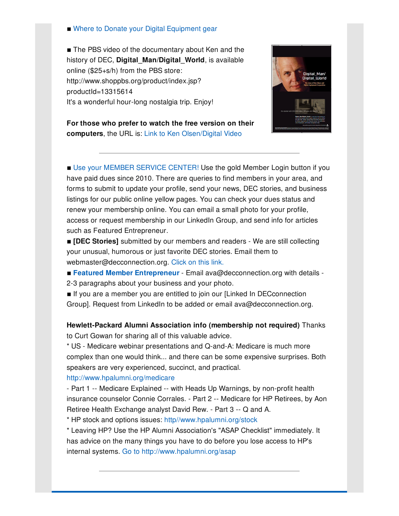#### ■ Where to Donate your Digital [Equipment](http://www.decconnection.org/DECdonations.htm) gear

■ The PBS video of the documentary about Ken and the history of DEC, **Digital\_Man/Digital\_World**, is available online (\$25+s/h) from the PBS store: http://www.shoppbs.org/product/index.jsp? productId=13315614 It's a wonderful hour-long nostalgia trip. Enjoy!



**For those who prefer to watch the free version on their computers**, the URL is: Link to Ken [Olsen/Digital](http://video.wfyi.org/video/2282149336/) Video

■ Use your [MEMBER](http://www.decconnection.org/msclogin.php) SERVICE CENTER! Use the gold Member Login button if you have paid dues since 2010. There are queries to find members in your area, and forms to submit to update your profile, send your news, DEC stories, and business listings for our public online yellow pages. You can check your dues status and renew your membership online. You can email a small photo for your profile, access or request membership in our LinkedIn Group, and send info for articles such as Featured Entrepreneur.

 $\blacksquare$  **[DEC Stories]** submitted by our members and readers - We are still collecting your unusual, humorous or just favorite DEC stories. Email them to webmaster@decconnection.org. [Click](http://www.decconnection.org/stories.htm) on this link.

▪ **Featured Member [Entrepreneur](http://www.decconnection.org/entrepreneur.htm)** - Email ava@decconnection.org with details -

2-3 paragraphs about your business and your photo.

**If you are a member you are entitled to join our [Linked In DECconnection** Group]. Request from LinkedIn to be added or email ava@decconnection.org.

**Hewlett-Packard Alumni Association info (membership not required)** Thanks to Curt Gowan for sharing all of this valuable advice.

\* US - Medicare webinar presentations and Q-and-A: Medicare is much more complex than one would think... and there can be some expensive surprises. Both speakers are very experienced, succinct, and practical.

#### <http://www.hpalumni.org/medicare>

- Part 1 -- Medicare Explained -- with Heads Up Warnings, by non-profit health insurance counselor Connie Corrales. - Part 2 -- Medicare for HP Retirees, by Aon Retiree Health Exchange analyst David Rew. - Part 3 -- Q and A.

\* HP stock and options issues: [http//www.hpalumni.org/stock](http://http//www.hpalumni.org/stock)

\* Leaving HP? Use the HP Alumni Association's "ASAP Checklist" immediately. It has advice on the many things you have to do before you lose access to HP's internal systems. Go to <http://www.hpalumni.org/asap>